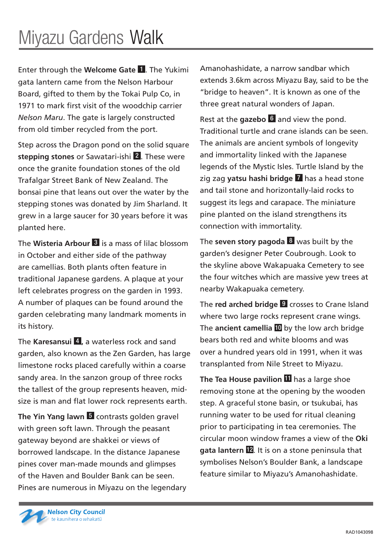Enter through the **Welcome Gate** 1 . The Yukimi gata lantern came from the Nelson Harbour Board, gifted to them by the Tokai Pulp Co, in 1971 to mark first visit of the woodchip carrier *Nelson Maru*. The gate is largely constructed from old timber recycled from the port.

Step across the Dragon pond on the solid square **stepping stones** or Sawatari-ishi 2 . These were once the granite foundation stones of the old Trafalgar Street Bank of New Zealand. The bonsai pine that leans out over the water by the stepping stones was donated by Jim Sharland. It grew in a large saucer for 30 years before it was planted here.

The **Wisteria Arbour** 3 is a mass of lilac blossom in October and either side of the pathway are camellias. Both plants often feature in traditional Japanese gardens. A plaque at your left celebrates progress on the garden in 1993. A number of plaques can be found around the garden celebrating many landmark moments in its history.

The **Karesansui** 4 **,** a waterless rock and sand garden, also known as the Zen Garden, has large limestone rocks placed carefully within a coarse sandy area. In the sanzon group of three rocks the tallest of the group represents heaven, midsize is man and flat lower rock represents earth.

**The Yin Yang lawn 5** contrasts golden gravel with green soft lawn. Through the peasant gateway beyond are shakkei or views of borrowed landscape. In the distance Japanese pines cover man-made mounds and glimpses of the Haven and Boulder Bank can be seen. Pines are numerous in Miyazu on the legendary Amanohashidate, a narrow sandbar which extends 3.6km across Miyazu Bay, said to be the "bridge to heaven". It is known as one of the three great natural wonders of Japan.

Rest at the **gazebo** 6 and view the pond. Traditional turtle and crane islands can be seen. The animals are ancient symbols of longevity and immortality linked with the Japanese legends of the Mystic Isles. Turtle Island by the zig zag **yatsu hashi bridge** 7 has a head stone and tail stone and horizontally-laid rocks to suggest its legs and carapace. The miniature pine planted on the island strengthens its connection with immortality.

The **seven story pagoda** 8 was built by the garden's designer Peter Coubrough. Look to the skyline above Wakapuaka Cemetery to see the four witches which are massive yew trees at nearby Wakapuaka cemetery.

The **red arched bridge 9** crosses to Crane Island where two large rocks represent crane wings. The **ancient camellia** 10 by the low arch bridge bears both red and white blooms and was over a hundred years old in 1991, when it was transplanted from Nile Street to Miyazu.

**The Tea House pavilion** 11 has a large shoe removing stone at the opening by the wooden step. A graceful stone basin, or tsukubai, has running water to be used for ritual cleaning prior to participating in tea ceremonies. The circular moon window frames a view of the **Oki gata lantern** 12 . It is on a stone peninsula that symbolises Nelson's Boulder Bank, a landscape feature similar to Miyazu's Amanohashidate.